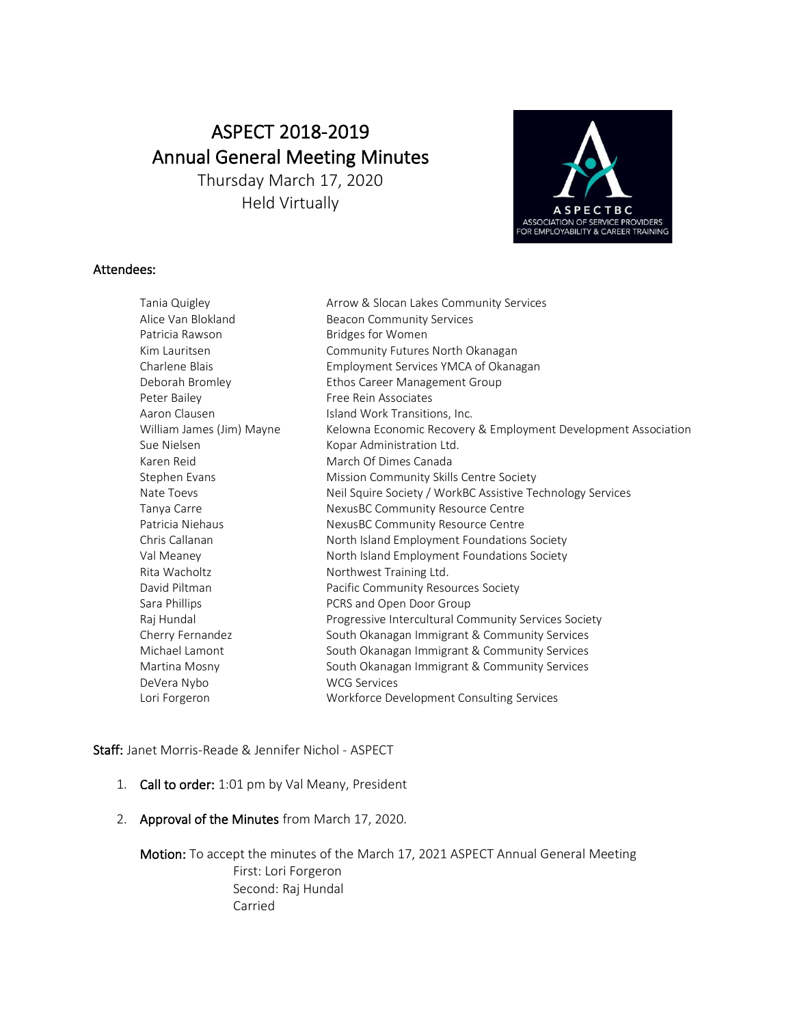# ASPECT 2018-2019 Annual General Meeting Minutes Thursday March 17, 2020

Held Virtually



## Attendees:

| Tania Quigley             | Arrow & Slocan Lakes Community Services                        |
|---------------------------|----------------------------------------------------------------|
| Alice Van Blokland        | <b>Beacon Community Services</b>                               |
| Patricia Rawson           | <b>Bridges for Women</b>                                       |
| Kim Lauritsen             | Community Futures North Okanagan                               |
| Charlene Blais            | Employment Services YMCA of Okanagan                           |
| Deborah Bromley           | Ethos Career Management Group                                  |
| Peter Bailey              | Free Rein Associates                                           |
| Aaron Clausen             | Island Work Transitions, Inc.                                  |
| William James (Jim) Mayne | Kelowna Economic Recovery & Employment Development Association |
| Sue Nielsen               | Kopar Administration Ltd.                                      |
| Karen Reid                | March Of Dimes Canada                                          |
| Stephen Evans             | Mission Community Skills Centre Society                        |
| Nate Toevs                | Neil Squire Society / WorkBC Assistive Technology Services     |
| Tanya Carre               | NexusBC Community Resource Centre                              |
| Patricia Niehaus          | NexusBC Community Resource Centre                              |
| Chris Callanan            | North Island Employment Foundations Society                    |
| Val Meaney                | North Island Employment Foundations Society                    |
| Rita Wacholtz             | Northwest Training Ltd.                                        |
| David Piltman             | Pacific Community Resources Society                            |
| Sara Phillips             | PCRS and Open Door Group                                       |
| Raj Hundal                | Progressive Intercultural Community Services Society           |
| Cherry Fernandez          | South Okanagan Immigrant & Community Services                  |
| Michael Lamont            | South Okanagan Immigrant & Community Services                  |
| Martina Mosny             | South Okanagan Immigrant & Community Services                  |
| DeVera Nybo               | <b>WCG Services</b>                                            |
| Lori Forgeron             | Workforce Development Consulting Services                      |
|                           |                                                                |

Staff: Janet Morris-Reade & Jennifer Nichol - ASPECT

- 1. Call to order: 1:01 pm by Val Meany, President
- 2. Approval of the Minutes from March 17, 2020.

Motion: To accept the minutes of the March 17, 2021 ASPECT Annual General Meeting First: Lori Forgeron Second: Raj Hundal Carried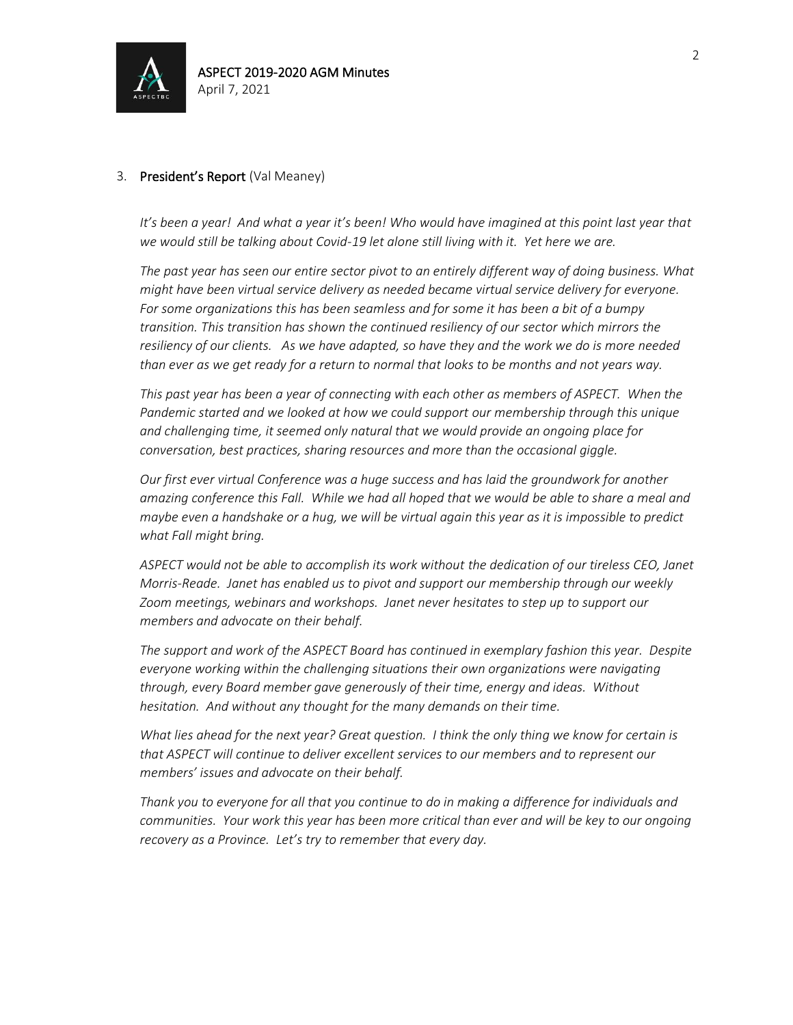

## 3. President's Report (Val Meaney)

It's been a year! And what a year it's been! Who would have imagined at this point last year that *we would still be talking about Covid-19 let alone still living with it. Yet here we are.* 

*The past year has seen our entire sector pivot to an entirely different way of doing business. What might have been virtual service delivery as needed became virtual service delivery for everyone. For some organizations this has been seamless and for some it has been a bit of a bumpy transition. This transition has shown the continued resiliency of our sector which mirrors the resiliency of our clients. As we have adapted, so have they and the work we do is more needed than ever as we get ready for a return to normal that looks to be months and not years way.* 

*This past year has been a year of connecting with each other as members of ASPECT. When the Pandemic started and we looked at how we could support our membership through this unique and challenging time, it seemed only natural that we would provide an ongoing place for conversation, best practices, sharing resources and more than the occasional giggle.* 

*Our first ever virtual Conference was a huge success and has laid the groundwork for another amazing conference this Fall. While we had all hoped that we would be able to share a meal and maybe even a handshake or a hug, we will be virtual again this year as it is impossible to predict what Fall might bring.* 

*ASPECT would not be able to accomplish its work without the dedication of our tireless CEO, Janet Morris-Reade. Janet has enabled us to pivot and support our membership through our weekly Zoom meetings, webinars and workshops. Janet never hesitates to step up to support our members and advocate on their behalf.* 

*The support and work of the ASPECT Board has continued in exemplary fashion this year. Despite everyone working within the challenging situations their own organizations were navigating through, every Board member gave generously of their time, energy and ideas. Without hesitation. And without any thought for the many demands on their time.* 

*What lies ahead for the next year? Great question. I think the only thing we know for certain is that ASPECT will continue to deliver excellent services to our members and to represent our members' issues and advocate on their behalf.*

*Thank you to everyone for all that you continue to do in making a difference for individuals and communities. Your work this year has been more critical than ever and will be key to our ongoing recovery as a Province. Let's try to remember that every day.*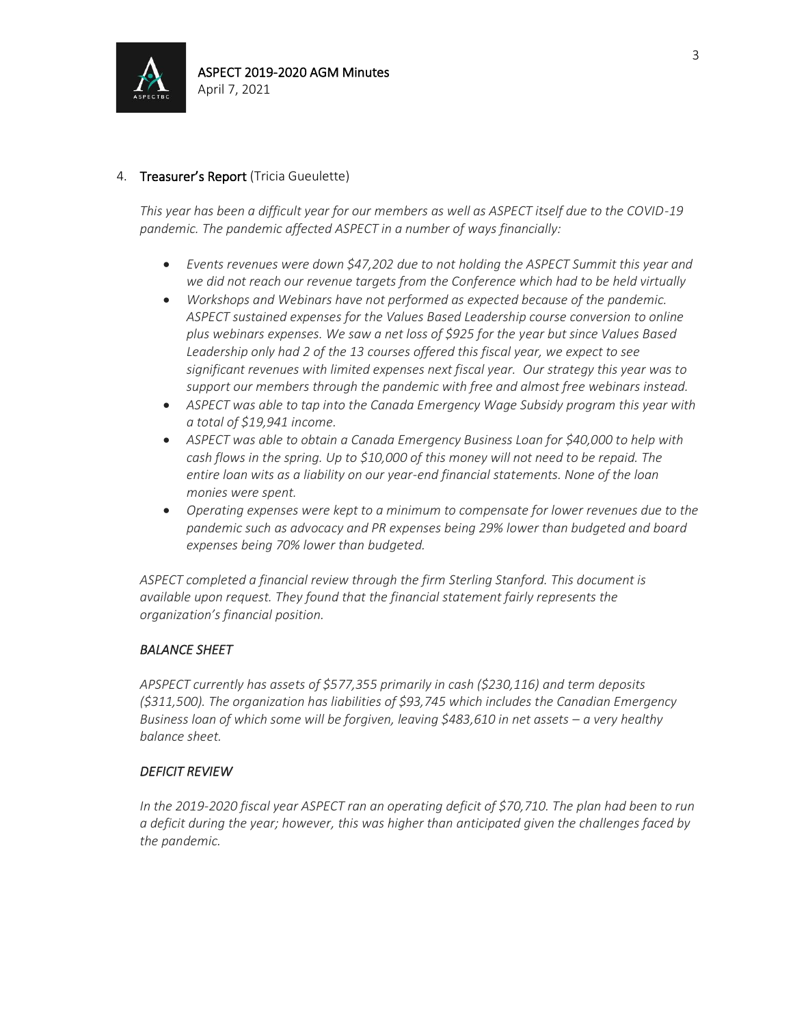

# 4. Treasurer's Report (Tricia Gueulette)

*This year has been a difficult year for our members as well as ASPECT itself due to the COVID-19 pandemic. The pandemic affected ASPECT in a number of ways financially:*

- *Events revenues were down \$47,202 due to not holding the ASPECT Summit this year and we did not reach our revenue targets from the Conference which had to be held virtually*
- *Workshops and Webinars have not performed as expected because of the pandemic. ASPECT sustained expenses for the Values Based Leadership course conversion to online plus webinars expenses. We saw a net loss of \$925 for the year but since Values Based Leadership only had 2 of the 13 courses offered this fiscal year, we expect to see significant revenues with limited expenses next fiscal year. Our strategy this year was to support our members through the pandemic with free and almost free webinars instead.*
- *ASPECT was able to tap into the Canada Emergency Wage Subsidy program this year with a total of \$19,941 income.*
- *ASPECT was able to obtain a Canada Emergency Business Loan for \$40,000 to help with cash flows in the spring. Up to \$10,000 of this money will not need to be repaid. The entire loan wits as a liability on our year-end financial statements. None of the loan monies were spent.*
- *Operating expenses were kept to a minimum to compensate for lower revenues due to the pandemic such as advocacy and PR expenses being 29% lower than budgeted and board expenses being 70% lower than budgeted.*

*ASPECT completed a financial review through the firm Sterling Stanford. This document is available upon request. They found that the financial statement fairly represents the organization's financial position.* 

#### *BALANCE SHEET*

*APSPECT currently has assets of \$577,355 primarily in cash (\$230,116) and term deposits (\$311,500). The organization has liabilities of \$93,745 which includes the Canadian Emergency Business loan of which some will be forgiven, leaving \$483,610 in net assets – a very healthy balance sheet.*

#### *DEFICIT REVIEW*

*In the 2019-2020 fiscal year ASPECT ran an operating deficit of \$70,710. The plan had been to run a deficit during the year; however, this was higher than anticipated given the challenges faced by the pandemic.*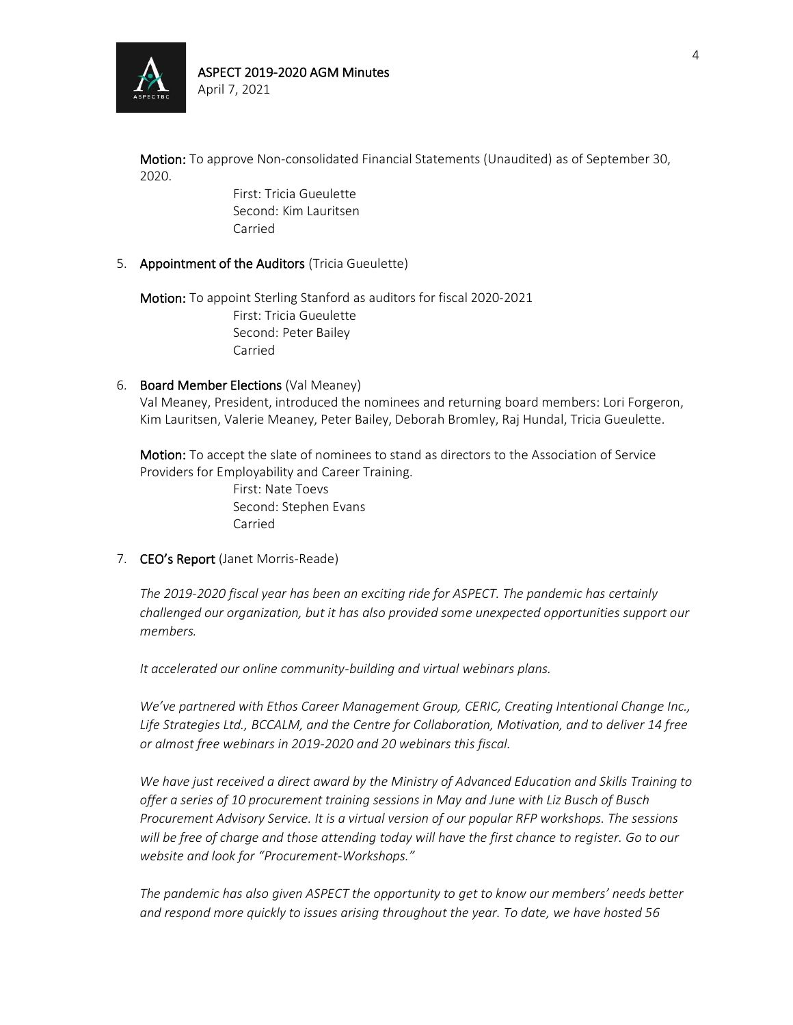

Motion: To approve Non-consolidated Financial Statements (Unaudited) as of September 30, 2020.

> First: Tricia Gueulette Second: Kim Lauritsen Carried

### 5. Appointment of the Auditors (Tricia Gueulette)

Motion: To appoint Sterling Stanford as auditors for fiscal 2020-2021 First: Tricia Gueulette Second: Peter Bailey Carried

#### 6. Board Member Elections (Val Meaney)

Val Meaney, President, introduced the nominees and returning board members: Lori Forgeron, Kim Lauritsen, Valerie Meaney, Peter Bailey, Deborah Bromley, Raj Hundal, Tricia Gueulette.

Motion: To accept the slate of nominees to stand as directors to the Association of Service Providers for Employability and Career Training.

> First: Nate Toevs Second: Stephen Evans Carried

#### 7. CEO's Report (Janet Morris-Reade)

*The 2019-2020 fiscal year has been an exciting ride for ASPECT. The pandemic has certainly challenged our organization, but it has also provided some unexpected opportunities support our members.*

*It accelerated our online community-building and virtual webinars plans.* 

*We've partnered with Ethos Career Management Group, CERIC, Creating Intentional Change Inc., Life Strategies Ltd., BCCALM, and the Centre for Collaboration, Motivation, and to deliver 14 free or almost free webinars in 2019-2020 and 20 webinars this fiscal.*

*We have just received a direct award by the Ministry of Advanced Education and Skills Training to offer a series of 10 procurement training sessions in May and June with Liz Busch of Busch Procurement Advisory Service. It is a virtual version of our popular RFP workshops. The sessions will be free of charge and those attending today will have the first chance to register. Go to our website and look for "Procurement-Workshops."* 

*The pandemic has also given ASPECT the opportunity to get to know our members' needs better and respond more quickly to issues arising throughout the year. To date, we have hosted 56*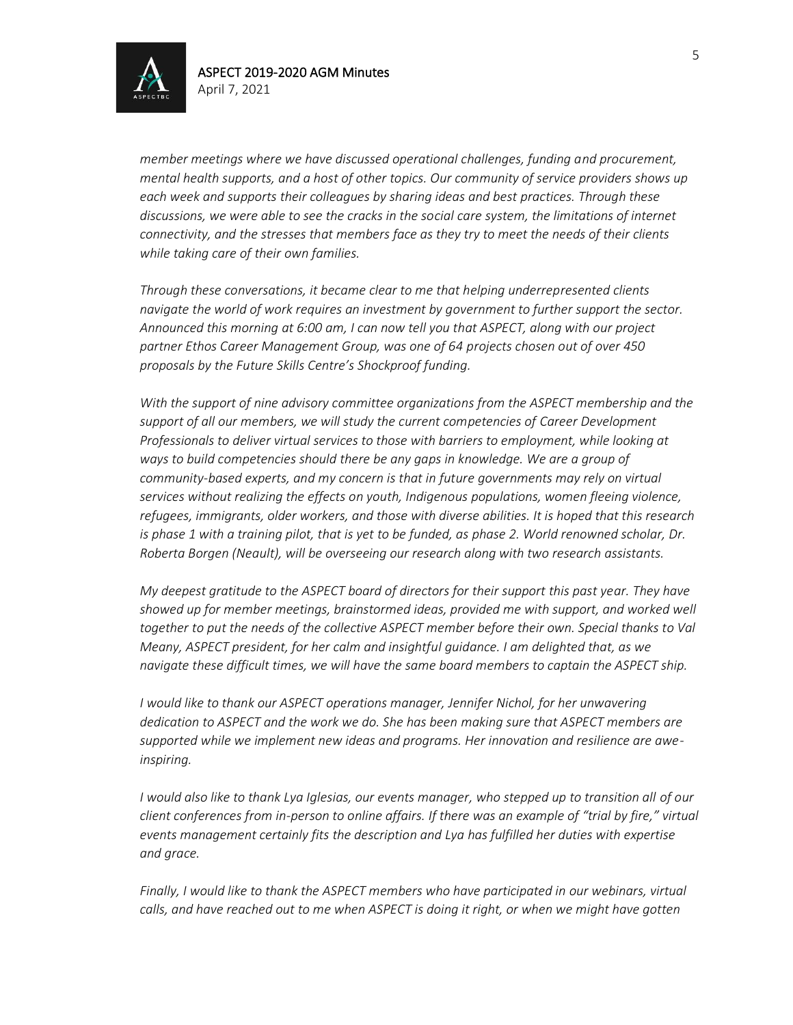

*member meetings where we have discussed operational challenges, funding and procurement, mental health supports, and a host of other topics. Our community of service providers shows up each week and supports their colleagues by sharing ideas and best practices. Through these discussions, we were able to see the cracks in the social care system, the limitations of internet connectivity, and the stresses that members face as they try to meet the needs of their clients while taking care of their own families.*

*Through these conversations, it became clear to me that helping underrepresented clients navigate the world of work requires an investment by government to further support the sector. Announced this morning at 6:00 am, I can now tell you that ASPECT, along with our project partner Ethos Career Management Group, was one of 64 projects chosen out of over 450 proposals by the Future Skills Centre's Shockproof funding.* 

*With the support of nine advisory committee organizations from the ASPECT membership and the support of all our members, we will study the current competencies of Career Development Professionals to deliver virtual services to those with barriers to employment, while looking at ways to build competencies should there be any gaps in knowledge. We are a group of community-based experts, and my concern is that in future governments may rely on virtual services without realizing the effects on youth, Indigenous populations, women fleeing violence, refugees, immigrants, older workers, and those with diverse abilities. It is hoped that this research*  is phase 1 with a training pilot, that is yet to be funded, as phase 2. World renowned scholar, Dr. *Roberta Borgen (Neault), will be overseeing our research along with two research assistants.* 

*My deepest gratitude to the ASPECT board of directors for their support this past year. They have showed up for member meetings, brainstormed ideas, provided me with support, and worked well*  together to put the needs of the collective ASPECT member before their own. Special thanks to Val *Meany, ASPECT president, for her calm and insightful guidance. I am delighted that, as we navigate these difficult times, we will have the same board members to captain the ASPECT ship.*

*I would like to thank our ASPECT operations manager, Jennifer Nichol, for her unwavering dedication to ASPECT and the work we do. She has been making sure that ASPECT members are supported while we implement new ideas and programs. Her innovation and resilience are aweinspiring.*

*I would also like to thank Lya Iglesias, our events manager, who stepped up to transition all of our client conferences from in-person to online affairs. If there was an example of "trial by fire," virtual events management certainly fits the description and Lya has fulfilled her duties with expertise and grace.*

*Finally, I would like to thank the ASPECT members who have participated in our webinars, virtual calls, and have reached out to me when ASPECT is doing it right, or when we might have gotten*